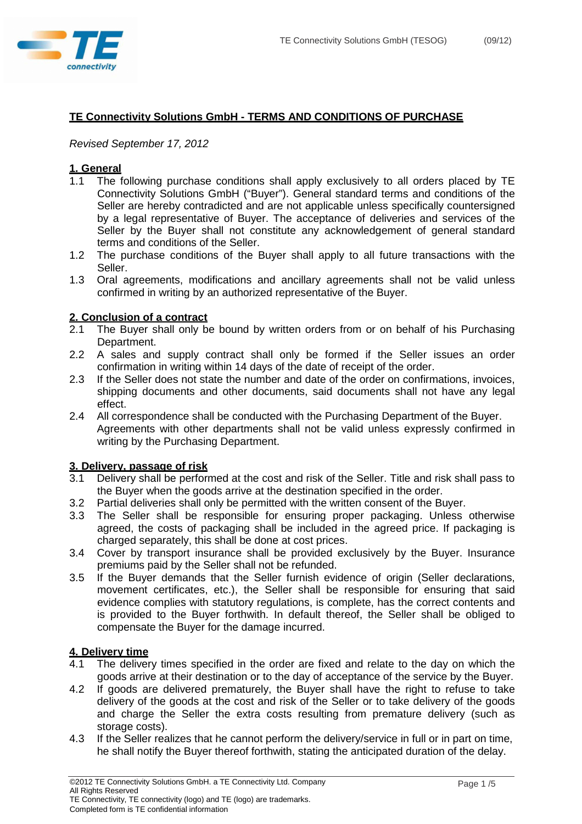

# **TE Connectivity Solutions GmbH - TERMS AND CONDITIONS OF PURCHASE**

### Revised September 17, 2012

### **1. General**

- 1.1 The following purchase conditions shall apply exclusively to all orders placed by TE Connectivity Solutions GmbH ("Buyer"). General standard terms and conditions of the Seller are hereby contradicted and are not applicable unless specifically countersigned by a legal representative of Buyer. The acceptance of deliveries and services of the Seller by the Buyer shall not constitute any acknowledgement of general standard terms and conditions of the Seller.
- 1.2 The purchase conditions of the Buyer shall apply to all future transactions with the Seller.
- 1.3 Oral agreements, modifications and ancillary agreements shall not be valid unless confirmed in writing by an authorized representative of the Buyer.

### **2. Conclusion of a contract**

- 2.1 The Buyer shall only be bound by written orders from or on behalf of his Purchasing Department.
- 2.2 A sales and supply contract shall only be formed if the Seller issues an order confirmation in writing within 14 days of the date of receipt of the order.
- 2.3 If the Seller does not state the number and date of the order on confirmations, invoices, shipping documents and other documents, said documents shall not have any legal effect.
- 2.4 All correspondence shall be conducted with the Purchasing Department of the Buyer. Agreements with other departments shall not be valid unless expressly confirmed in writing by the Purchasing Department.

#### **3. Delivery, passage of risk**

- 3.1 Delivery shall be performed at the cost and risk of the Seller. Title and risk shall pass to the Buyer when the goods arrive at the destination specified in the order.
- 3.2 Partial deliveries shall only be permitted with the written consent of the Buyer.
- 3.3 The Seller shall be responsible for ensuring proper packaging. Unless otherwise agreed, the costs of packaging shall be included in the agreed price. If packaging is charged separately, this shall be done at cost prices.
- 3.4 Cover by transport insurance shall be provided exclusively by the Buyer. Insurance premiums paid by the Seller shall not be refunded.
- 3.5 If the Buyer demands that the Seller furnish evidence of origin (Seller declarations, movement certificates, etc.), the Seller shall be responsible for ensuring that said evidence complies with statutory regulations, is complete, has the correct contents and is provided to the Buyer forthwith. In default thereof, the Seller shall be obliged to compensate the Buyer for the damage incurred.

### **4. Delivery time**

- 4.1 The delivery times specified in the order are fixed and relate to the day on which the goods arrive at their destination or to the day of acceptance of the service by the Buyer.
- 4.2 If goods are delivered prematurely, the Buyer shall have the right to refuse to take delivery of the goods at the cost and risk of the Seller or to take delivery of the goods and charge the Seller the extra costs resulting from premature delivery (such as storage costs).
- 4.3 If the Seller realizes that he cannot perform the delivery/service in full or in part on time, he shall notify the Buyer thereof forthwith, stating the anticipated duration of the delay.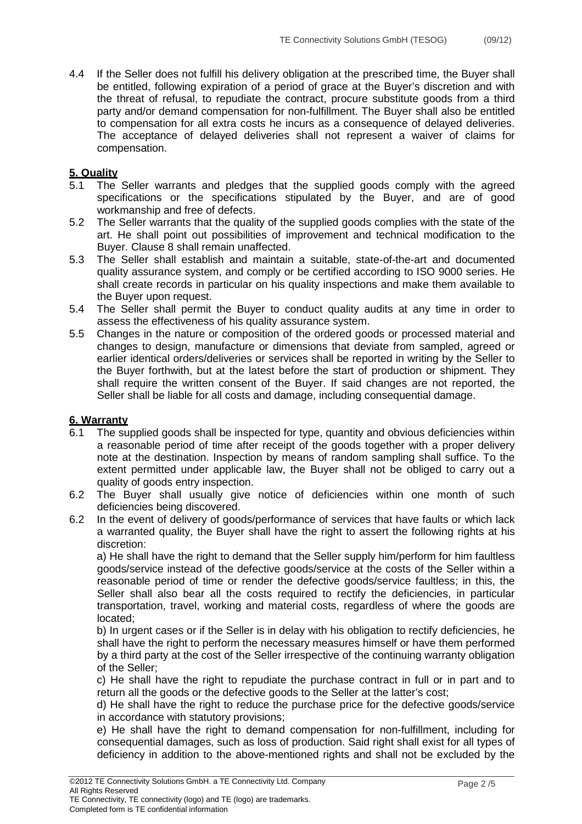4.4 If the Seller does not fulfill his delivery obligation at the prescribed time, the Buyer shall be entitled, following expiration of a period of grace at the Buyer's discretion and with the threat of refusal, to repudiate the contract, procure substitute goods from a third party and/or demand compensation for non-fulfillment. The Buyer shall also be entitled to compensation for all extra costs he incurs as a consequence of delayed deliveries. The acceptance of delayed deliveries shall not represent a waiver of claims for compensation.

## **5. Quality**

- 5.1 The Seller warrants and pledges that the supplied goods comply with the agreed specifications or the specifications stipulated by the Buyer, and are of good workmanship and free of defects.
- 5.2 The Seller warrants that the quality of the supplied goods complies with the state of the art. He shall point out possibilities of improvement and technical modification to the Buyer. Clause 8 shall remain unaffected.
- 5.3 The Seller shall establish and maintain a suitable, state-of-the-art and documented quality assurance system, and comply or be certified according to ISO 9000 series. He shall create records in particular on his quality inspections and make them available to the Buyer upon request.
- 5.4 The Seller shall permit the Buyer to conduct quality audits at any time in order to assess the effectiveness of his quality assurance system.
- 5.5 Changes in the nature or composition of the ordered goods or processed material and changes to design, manufacture or dimensions that deviate from sampled, agreed or earlier identical orders/deliveries or services shall be reported in writing by the Seller to the Buyer forthwith, but at the latest before the start of production or shipment. They shall require the written consent of the Buyer. If said changes are not reported, the Seller shall be liable for all costs and damage, including consequential damage.

#### **6. Warranty**

- 6.1 The supplied goods shall be inspected for type, quantity and obvious deficiencies within a reasonable period of time after receipt of the goods together with a proper delivery note at the destination. Inspection by means of random sampling shall suffice. To the extent permitted under applicable law, the Buyer shall not be obliged to carry out a quality of goods entry inspection.
- 6.2 The Buyer shall usually give notice of deficiencies within one month of such deficiencies being discovered.
- 6.2 In the event of delivery of goods/performance of services that have faults or which lack a warranted quality, the Buyer shall have the right to assert the following rights at his discretion:

 a) He shall have the right to demand that the Seller supply him/perform for him faultless goods/service instead of the defective goods/service at the costs of the Seller within a reasonable period of time or render the defective goods/service faultless; in this, the Seller shall also bear all the costs required to rectify the deficiencies, in particular transportation, travel, working and material costs, regardless of where the goods are located;

 b) In urgent cases or if the Seller is in delay with his obligation to rectify deficiencies, he shall have the right to perform the necessary measures himself or have them performed by a third party at the cost of the Seller irrespective of the continuing warranty obligation of the Seller;

 c) He shall have the right to repudiate the purchase contract in full or in part and to return all the goods or the defective goods to the Seller at the latter's cost;

 d) He shall have the right to reduce the purchase price for the defective goods/service in accordance with statutory provisions;

 e) He shall have the right to demand compensation for non-fulfillment, including for consequential damages, such as loss of production. Said right shall exist for all types of deficiency in addition to the above-mentioned rights and shall not be excluded by the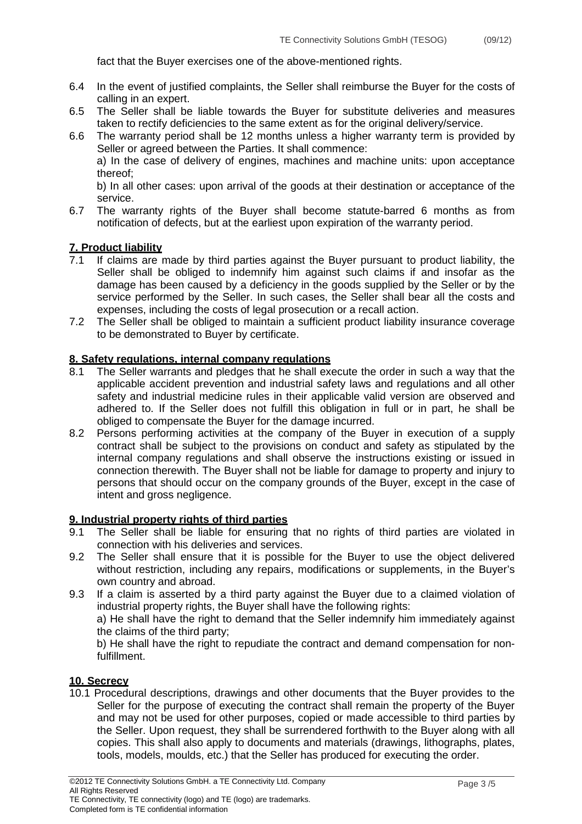fact that the Buyer exercises one of the above-mentioned rights.

- 6.4 In the event of justified complaints, the Seller shall reimburse the Buyer for the costs of calling in an expert.
- 6.5 The Seller shall be liable towards the Buyer for substitute deliveries and measures taken to rectify deficiencies to the same extent as for the original delivery/service.
- 6.6 The warranty period shall be 12 months unless a higher warranty term is provided by Seller or agreed between the Parties. It shall commence:

 a) In the case of delivery of engines, machines and machine units: upon acceptance thereof;

 b) In all other cases: upon arrival of the goods at their destination or acceptance of the service.

6.7 The warranty rights of the Buyer shall become statute-barred 6 months as from notification of defects, but at the earliest upon expiration of the warranty period.

#### **7. Product liability**

- If claims are made by third parties against the Buyer pursuant to product liability, the Seller shall be obliged to indemnify him against such claims if and insofar as the damage has been caused by a deficiency in the goods supplied by the Seller or by the service performed by the Seller. In such cases, the Seller shall bear all the costs and expenses, including the costs of legal prosecution or a recall action.
- 7.2 The Seller shall be obliged to maintain a sufficient product liability insurance coverage to be demonstrated to Buyer by certificate.

#### **8. Safety regulations, internal company regulations**

- The Seller warrants and pledges that he shall execute the order in such a way that the applicable accident prevention and industrial safety laws and regulations and all other safety and industrial medicine rules in their applicable valid version are observed and adhered to. If the Seller does not fulfill this obligation in full or in part, he shall be obliged to compensate the Buyer for the damage incurred.
- 8.2 Persons performing activities at the company of the Buyer in execution of a supply contract shall be subject to the provisions on conduct and safety as stipulated by the internal company regulations and shall observe the instructions existing or issued in connection therewith. The Buyer shall not be liable for damage to property and injury to persons that should occur on the company grounds of the Buyer, except in the case of intent and gross negligence.

## **9. Industrial property rights of third parties**

- 9.1 The Seller shall be liable for ensuring that no rights of third parties are violated in connection with his deliveries and services.
- 9.2 The Seller shall ensure that it is possible for the Buyer to use the object delivered without restriction, including any repairs, modifications or supplements, in the Buyer's own country and abroad.
- 9.3 If a claim is asserted by a third party against the Buyer due to a claimed violation of industrial property rights, the Buyer shall have the following rights:

 a) He shall have the right to demand that the Seller indemnify him immediately against the claims of the third party;

 b) He shall have the right to repudiate the contract and demand compensation for nonfulfillment.

#### **10. Secrecy**

10.1 Procedural descriptions, drawings and other documents that the Buyer provides to the Seller for the purpose of executing the contract shall remain the property of the Buyer and may not be used for other purposes, copied or made accessible to third parties by the Seller. Upon request, they shall be surrendered forthwith to the Buyer along with all copies. This shall also apply to documents and materials (drawings, lithographs, plates, tools, models, moulds, etc.) that the Seller has produced for executing the order.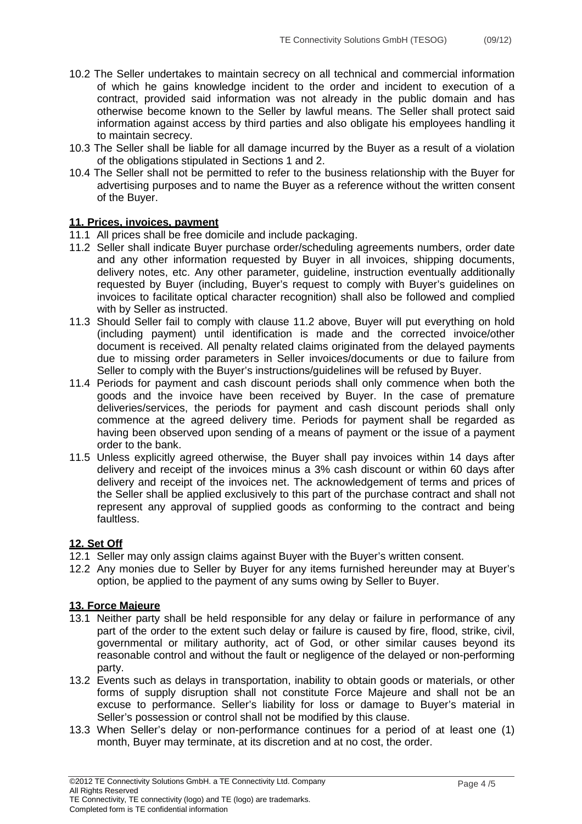- 10.2 The Seller undertakes to maintain secrecy on all technical and commercial information of which he gains knowledge incident to the order and incident to execution of a contract, provided said information was not already in the public domain and has otherwise become known to the Seller by lawful means. The Seller shall protect said information against access by third parties and also obligate his employees handling it to maintain secrecy.
- 10.3 The Seller shall be liable for all damage incurred by the Buyer as a result of a violation of the obligations stipulated in Sections 1 and 2.
- 10.4 The Seller shall not be permitted to refer to the business relationship with the Buyer for advertising purposes and to name the Buyer as a reference without the written consent of the Buyer.

#### **11. Prices, invoices, payment**

- 11.1 All prices shall be free domicile and include packaging.
- 11.2 Seller shall indicate Buyer purchase order/scheduling agreements numbers, order date and any other information requested by Buyer in all invoices, shipping documents, delivery notes, etc. Any other parameter, guideline, instruction eventually additionally requested by Buyer (including, Buyer's request to comply with Buyer's guidelines on invoices to facilitate optical character recognition) shall also be followed and complied with by Seller as instructed.
- 11.3 Should Seller fail to comply with clause 11.2 above, Buyer will put everything on hold (including payment) until identification is made and the corrected invoice/other document is received. All penalty related claims originated from the delayed payments due to missing order parameters in Seller invoices/documents or due to failure from Seller to comply with the Buyer's instructions/guidelines will be refused by Buyer.
- 11.4 Periods for payment and cash discount periods shall only commence when both the goods and the invoice have been received by Buyer. In the case of premature deliveries/services, the periods for payment and cash discount periods shall only commence at the agreed delivery time. Periods for payment shall be regarded as having been observed upon sending of a means of payment or the issue of a payment order to the bank.
- 11.5 Unless explicitly agreed otherwise, the Buyer shall pay invoices within 14 days after delivery and receipt of the invoices minus a 3% cash discount or within 60 days after delivery and receipt of the invoices net. The acknowledgement of terms and prices of the Seller shall be applied exclusively to this part of the purchase contract and shall not represent any approval of supplied goods as conforming to the contract and being faultless.

## **12. Set Off**

- 12.1 Seller may only assign claims against Buyer with the Buyer's written consent.
- 12.2 Any monies due to Seller by Buyer for any items furnished hereunder may at Buyer's option, be applied to the payment of any sums owing by Seller to Buyer.

#### **13. Force Majeure**

- 13.1 Neither party shall be held responsible for any delay or failure in performance of any part of the order to the extent such delay or failure is caused by fire, flood, strike, civil, governmental or military authority, act of God, or other similar causes beyond its reasonable control and without the fault or negligence of the delayed or non-performing party.
- 13.2 Events such as delays in transportation, inability to obtain goods or materials, or other forms of supply disruption shall not constitute Force Majeure and shall not be an excuse to performance. Seller's liability for loss or damage to Buyer's material in Seller's possession or control shall not be modified by this clause.
- 13.3 When Seller's delay or non-performance continues for a period of at least one (1) month, Buyer may terminate, at its discretion and at no cost, the order.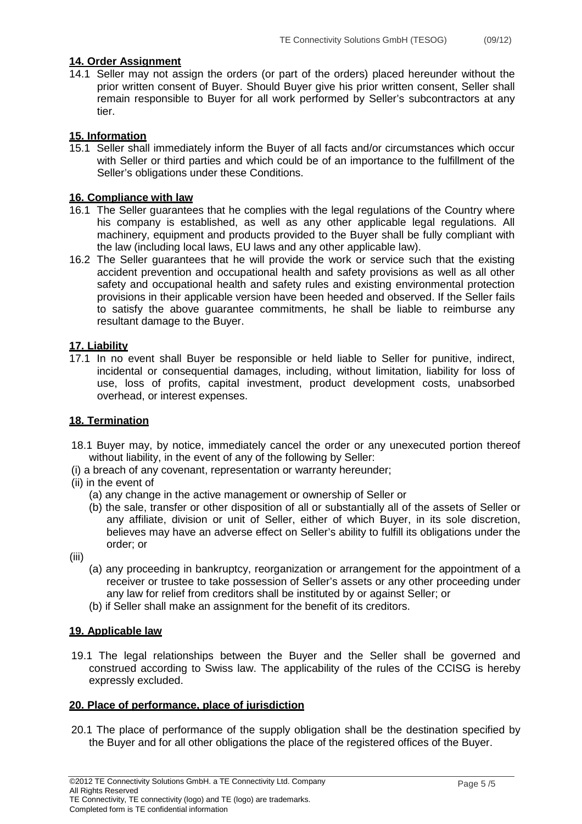### **14. Order Assignment**

14.1 Seller may not assign the orders (or part of the orders) placed hereunder without the prior written consent of Buyer. Should Buyer give his prior written consent, Seller shall remain responsible to Buyer for all work performed by Seller's subcontractors at any tier.

### **15. Information**

15.1 Seller shall immediately inform the Buyer of all facts and/or circumstances which occur with Seller or third parties and which could be of an importance to the fulfillment of the Seller's obligations under these Conditions.

### **16. Compliance with law**

- 16.1 The Seller guarantees that he complies with the legal regulations of the Country where his company is established, as well as any other applicable legal regulations. All machinery, equipment and products provided to the Buyer shall be fully compliant with the law (including local laws, EU laws and any other applicable law).
- 16.2 The Seller guarantees that he will provide the work or service such that the existing accident prevention and occupational health and safety provisions as well as all other safety and occupational health and safety rules and existing environmental protection provisions in their applicable version have been heeded and observed. If the Seller fails to satisfy the above guarantee commitments, he shall be liable to reimburse any resultant damage to the Buyer.

### **17. Liability**

17.1 In no event shall Buyer be responsible or held liable to Seller for punitive, indirect, incidental or consequential damages, including, without limitation, liability for loss of use, loss of profits, capital investment, product development costs, unabsorbed overhead, or interest expenses.

#### **18. Termination**

- 18.1 Buyer may, by notice, immediately cancel the order or any unexecuted portion thereof without liability, in the event of any of the following by Seller:
- (i) a breach of any covenant, representation or warranty hereunder;
- (ii) in the event of
	- (a) any change in the active management or ownership of Seller or
	- (b) the sale, transfer or other disposition of all or substantially all of the assets of Seller or any affiliate, division or unit of Seller, either of which Buyer, in its sole discretion, believes may have an adverse effect on Seller's ability to fulfill its obligations under the order; or
- (iii)
	- (a) any proceeding in bankruptcy, reorganization or arrangement for the appointment of a receiver or trustee to take possession of Seller's assets or any other proceeding under any law for relief from creditors shall be instituted by or against Seller; or
	- (b) if Seller shall make an assignment for the benefit of its creditors.

#### **19. Applicable law**

19.1 The legal relationships between the Buyer and the Seller shall be governed and construed according to Swiss law. The applicability of the rules of the CCISG is hereby expressly excluded.

#### **20. Place of performance, place of jurisdiction**

20.1 The place of performance of the supply obligation shall be the destination specified by the Buyer and for all other obligations the place of the registered offices of the Buyer.